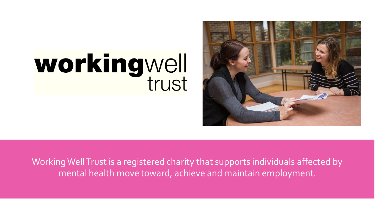

# workingwell

Working Well Trust is a registered charity that supports individuals affected by mental health move toward, achieve and maintain employment.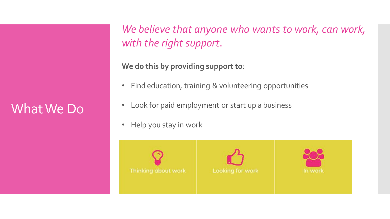## What We Do

*We believe that anyone who wants to work, can work, with the right support*.

**We do this by providing support to**:

- Find education, training & volunteering opportunities
- Look for paid employment or start up a business
- Help you stay in work





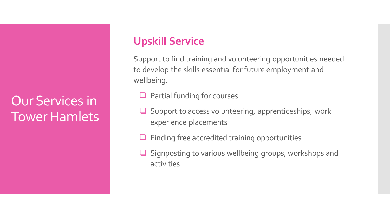#### **Upskill Service**

Support to find training and volunteering opportunities needed to develop the skills essential for future employment and wellbeing.

- ❑ Partial funding for courses
- Support to access volunteering, apprenticeships, work experience placements
- ❑ Finding free accredited training opportunities
- Signposting to various wellbeing groups, workshops and activities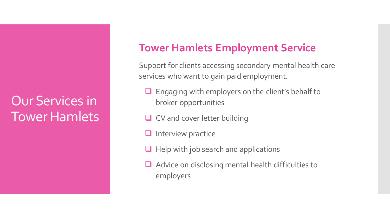#### **Tower Hamlets Employment Service**

Support for clients accessing secondary mental health care services who want to gain paid employment.

- Engaging with employers on the client's behalf to broker opportunities
- □ CV and cover letter building
- ❑ Interview practice
- $\Box$  Help with job search and applications
- ❑ Advice on disclosing mental health difficulties to employers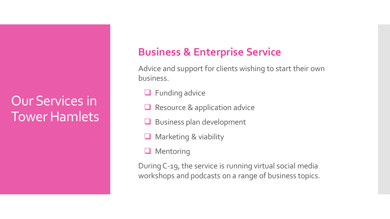### **Business & Enterprise Service**

Advice and support for clients wishing to start their own business.

- ❑ Funding advice
- Resource & application advice
- ❑ Business plan development
- ❑ Marketing & viability
- ❑ Mentoring

During C-19, the service is running virtual social media workshops and podcasts on a range of business topics.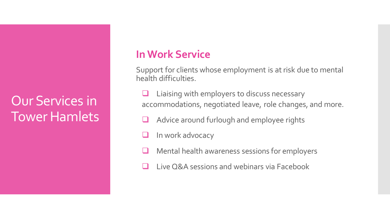#### **In Work Service**

Support for clients whose employment is at risk due to mental health difficulties.

- Liaising with employers to discuss necessary accommodations, negotiated leave, role changes, and more.
- Advice around furlough and employee rights
- In work advocacy
- Mental health awareness sessions for employers
- Live Q&A sessions and webinars via Facebook